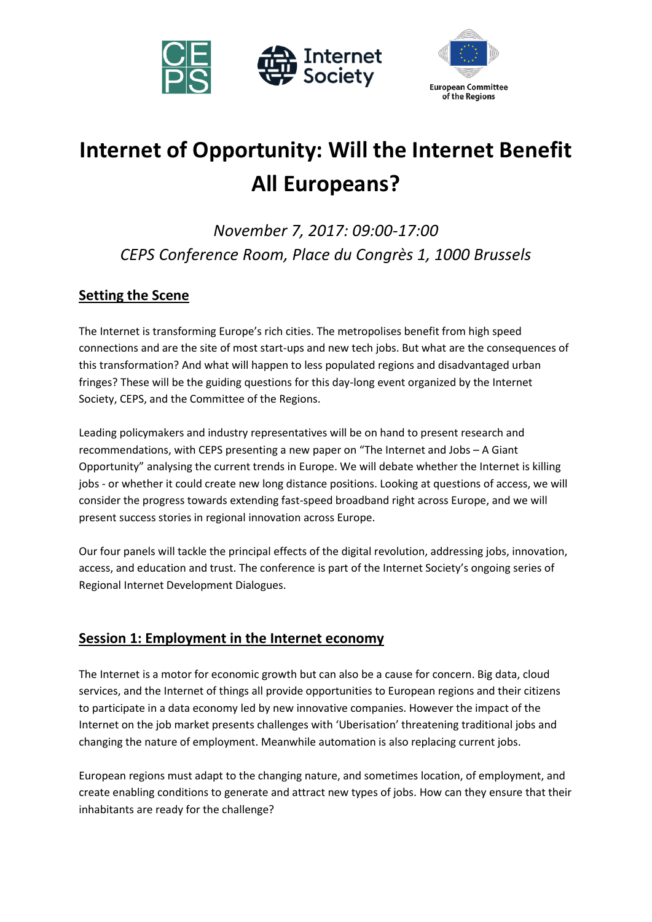



# **Internet of Opportunity: Will the Internet Benefit All Europeans?**

*November 7, 2017: 09:00-17:00 CEPS Conference Room, Place du Congrès 1, 1000 Brussels*

# **Setting the Scene**

The Internet is transforming Europe's rich cities. The metropolises benefit from high speed connections and are the site of most start-ups and new tech jobs. But what are the consequences of this transformation? And what will happen to less populated regions and disadvantaged urban fringes? These will be the guiding questions for this day-long event organized by the Internet Society, CEPS, and the Committee of the Regions.

Leading policymakers and industry representatives will be on hand to present research and recommendations, with CEPS presenting a new paper on "The Internet and Jobs – A Giant Opportunity" analysing the current trends in Europe. We will debate whether the Internet is killing jobs - or whether it could create new long distance positions. Looking at questions of access, we will consider the progress towards extending fast-speed broadband right across Europe, and we will present success stories in regional innovation across Europe.

Our four panels will tackle the principal effects of the digital revolution, addressing jobs, innovation, access, and education and trust. The conference is part of the Internet Society's ongoing series of Regional Internet Development Dialogues.

### **Session 1: Employment in the Internet economy**

The Internet is a motor for economic growth but can also be a cause for concern. Big data, cloud services, and the Internet of things all provide opportunities to European regions and their citizens to participate in a data economy led by new innovative companies. However the impact of the Internet on the job market presents challenges with 'Uberisation' threatening traditional jobs and changing the nature of employment. Meanwhile automation is also replacing current jobs.

European regions must adapt to the changing nature, and sometimes location, of employment, and create enabling conditions to generate and attract new types of jobs. How can they ensure that their inhabitants are ready for the challenge?